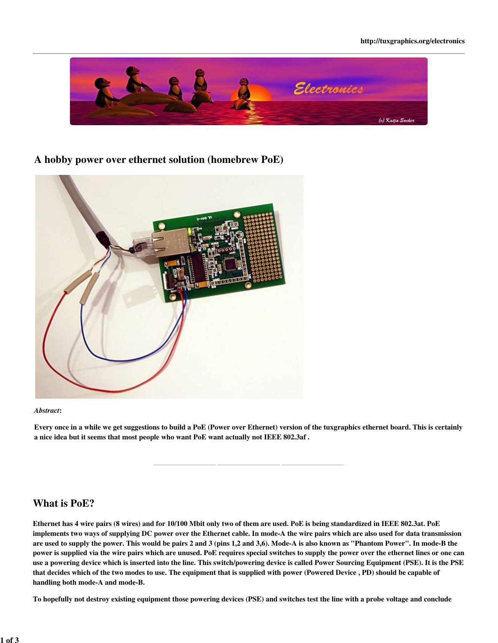

**A hobby power over ethernet solution (homebrew PoE)**



#### *Abstract*:

Every once in a while we get suggestions to build a PoE (Power over Ethernet) version of the tuxgraphics ethernet board. This is certainly a nice idea but it seems that most people who want PoE want actually not IEEE 802.3af .

**\_\_\_\_\_\_\_\_\_\_\_\_\_\_\_\_\_ \_\_\_\_\_\_\_\_\_\_\_\_\_\_\_\_\_ \_\_\_\_\_\_\_\_\_\_\_\_\_\_\_\_\_**

# **What is PoE?**

Ethernet has 4 wire pairs (8 wires) and for 10/100 Mbit only two of them are used. PoE is being standardized in IEEE 802.3at. PoE implements two ways of supplying DC power over the Ethernet cable. In mode-A the wire pairs which are also used for data transmission are used to supply the power. This would be pairs 2 and 3 (pins 1,2 and 3,6). Mode-A is also known as "Phantom Power". In mode-B the power is supplied via the wire pairs which are unused. PoE requires special switches to supply the power over the ethernet lines or one can use a powering device which is inserted into the line. This switch/powering device is called Power Sourcing Equipment (PSE). It is the PSE that decides which of the two modes to use. The equipment that is supplied with power (Powered Device , PD) should be capable of handling both mode-A and mode-B.

To hopefully not destroy existing equipment those powering devices (PSE) and switches test the line with a probe voltage and conclude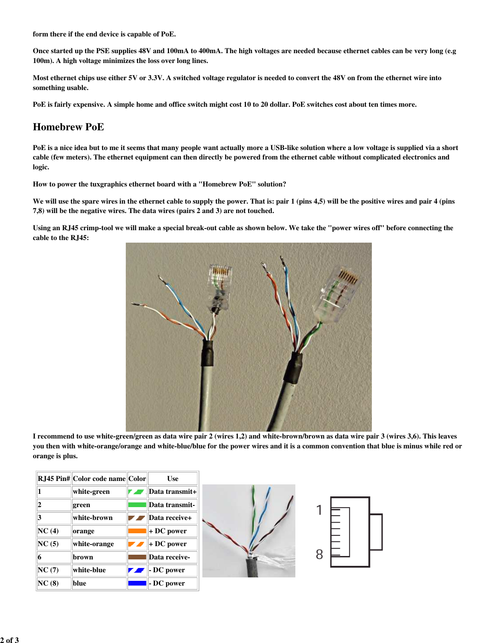form there if the end device is capable of PoE.

Once started up the PSE supplies 48V and 100mA to 400mA. The high voltages are needed because ethernet cables can be very long (e.g 100m). A high voltage minimizes the loss over long lines.

Most ethernet chips use either 5V or 3.3V. A switched voltage regulator is needed to convert the 48V on from the ethernet wire into something usable.

PoE is fairly expensive. A simple home and office switch might cost 10 to 20 dollar. PoE switches cost about ten times more.

### **Homebrew PoE**

PoE is a nice idea but to me it seems that many people want actually more a USB-like solution where a low voltage is supplied via a short cable (few meters). The ethernet equipment can then directly be powered from the ethernet cable without complicated electronics and logic.

How to power the tuxgraphics ethernet board with a "Homebrew PoE" solution?

We will use the spare wires in the ethernet cable to supply the power. That is: pair 1 (pins 4,5) will be the positive wires and pair 4 (pins 7,8) will be the negative wires. The data wires (pairs 2 and 3) are not touched.

Using an RJ45 crimp-tool we will make a special break-out cable as shown below. We take the "power wires off" before connecting the cable to the RJ45:



I recommend to use white-green/green as data wire pair 2 (wires 1,2) and white-brown/brown as data wire pair 3 (wires 3,6). This leaves you then with white-orange/orange and white-blue/blue for the power wires and it is a common convention that blue is minus while red or orange is plus.

|       | RJ45 Pin#  Color code name  Color | <b>Use</b>         |  |
|-------|-----------------------------------|--------------------|--|
|       | white-green                       | Data transmit+     |  |
| 12    | green                             | Data transmit-     |  |
| 3     | white-brown                       | Data receive+      |  |
| NC(4) | orange                            | $+DC power$        |  |
| NC(5) | white-orange                      | $+DC power$        |  |
| 16    | brown                             | Data receive-      |  |
| NC(7) | white-blue                        | $\ $ - DC power    |  |
| NC(8) | blue                              | $\vert$ - DC power |  |